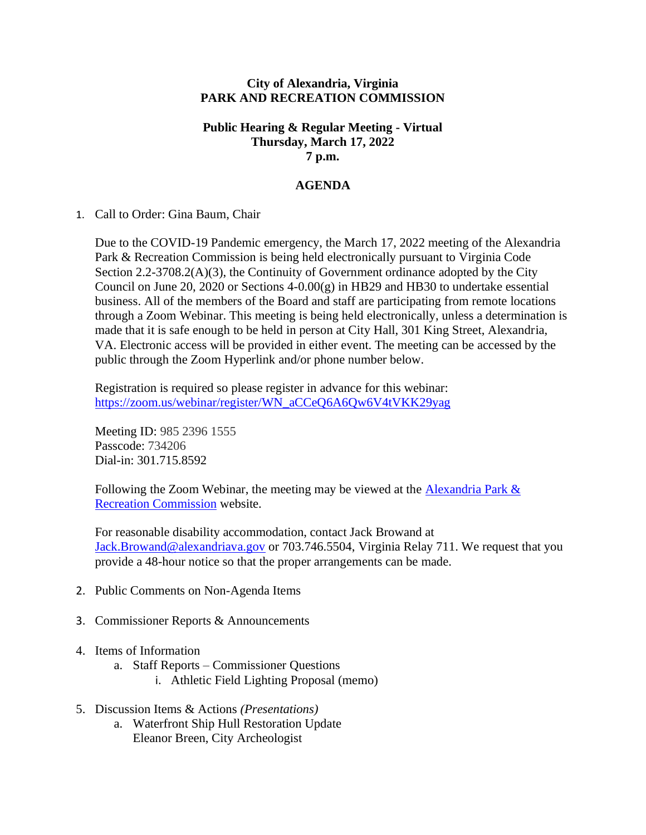## **City of Alexandria, Virginia PARK AND RECREATION COMMISSION**

## **Public Hearing & Regular Meeting - Virtual Thursday, March 17, 2022 7 p.m.**

## **AGENDA**

## 1. Call to Order: Gina Baum, Chair

Due to the COVID-19 Pandemic emergency, the March 17, 2022 meeting of the Alexandria Park & Recreation Commission is being held electronically pursuant to Virginia Code Section 2.2-3708.2(A)(3), the Continuity of Government ordinance adopted by the City Council on June 20, 2020 or Sections  $4-0.00(g)$  in HB29 and HB30 to undertake essential business. All of the members of the Board and staff are participating from remote locations through a Zoom Webinar. This meeting is being held electronically, unless a determination is made that it is safe enough to be held in person at City Hall, 301 King Street, Alexandria, VA. Electronic access will be provided in either event. The meeting can be accessed by the public through the Zoom Hyperlink and/or phone number below.

Registration is required so please register in advance for this webinar: [https://zoom.us/webinar/register/WN\\_aCCeQ6A6Qw6V4tVKK29yag](https://zoom.us/webinar/register/WN_aCCeQ6A6Qw6V4tVKK29yag)

Meeting ID: 985 2396 1555 Passcode: 734206 Dial-in: 301.715.8592

Following the Zoom Webinar, the meeting may be viewed at the Alexandria Park  $\&$ [Recreation Commission](https://www.alexandriava.gov/recreation/info/default.aspx?id=25560) website.

For reasonable disability accommodation, contact Jack Browand at [Jack.Browand@alexandriava.gov](mailto:Jack.Browand@alexandriava.gov) or 703.746.5504, Virginia Relay 711. We request that you provide a 48-hour notice so that the proper arrangements can be made.

- 2. Public Comments on Non-Agenda Items
- 3. Commissioner Reports & Announcements
- 4. Items of Information
	- a. Staff Reports Commissioner Questions
		- i. Athletic Field Lighting Proposal (memo)
- 5. Discussion Items & Actions *(Presentations)*
	- a. Waterfront Ship Hull Restoration Update Eleanor Breen, City Archeologist